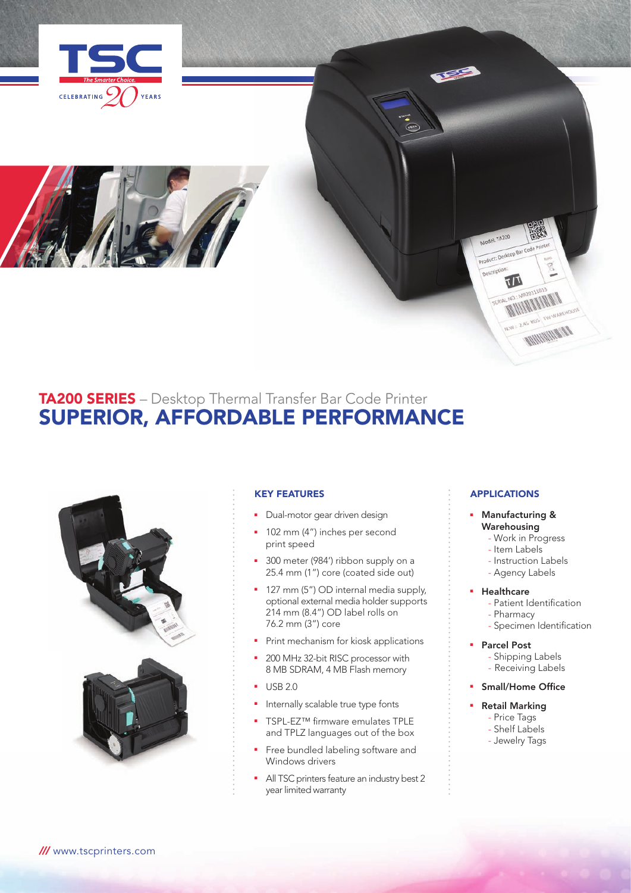



# TA200 SERIES – Desktop Thermal Transfer Bar Code Printer SUPERIOR, AFFORDABLE PERFORMANCE



## KEY FEATURES

- Dual-motor gear driven design
- **102 mm (4") inches per second** print speed
- 300 meter (984') ribbon supply on a 25.4 mm (1") core (coated side out)
- 127 mm (5") OD internal media supply, optional external media holder supports 214 mm (8.4") OD label rolls on 76.2 mm (3") core
- **•** Print mechanism for kiosk applications
- **200 MHz 32-bit RISC processor with** 8 MB SDRAM, 4 MB Flash memory
- $-$  USB 2.0
- **n** Internally scalable true type fonts
- TSPL-EZ™ firmware emulates TPLE and TPLZ languages out of the box
- Free bundled labeling software and Windows drivers
- All TSC printers feature an industry best 2 year limited warranty

## **APPLICATIONS**

TA200 Product: Desktop Bar noscrip

 $\frac{1}{2}$ 

n mung

- Manufacturing & Warehousing
	- Work in Progress
	- Item Labels
	- Instruction Labels
	- Agency Labels

### **Healthcare**

- Patient Identification
- Pharmacy
- Specimen Identification
- **Parcel Post** 
	- Shipping Labels
	- Receiving Labels
- **Small/Home Office**

# **Retail Marking**

- Price Tags - Shelf Labels
- Jewelry Tags
-